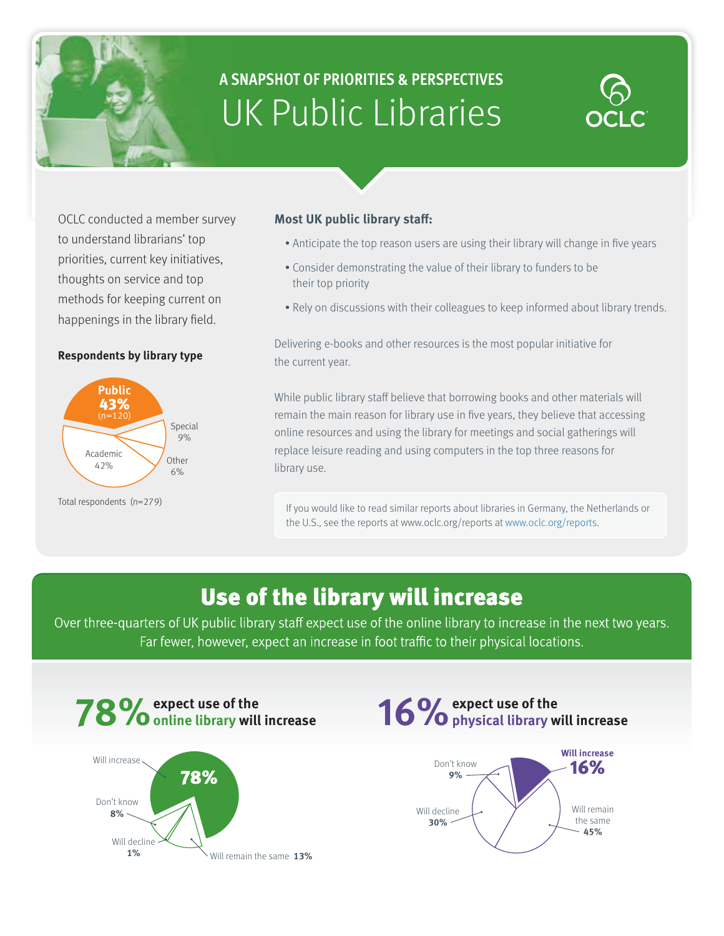# **A SNAPSHOT OF PRIORITIES & PERSPECTIVES** UK Public Libraries

OCLC conducted a member survey to understand librarians' top priorities, current key initiatives, thoughts on service and top methods for keeping current on happenings in the library field.

#### **Respondents by library type**



Total respondents (n=279)

#### **Most UK public library staff:**

- Anticipate the top reason users are using their library will change in five years
- Consider demonstrating the value of their library to funders to be their top priority
- Rely on discussions with their colleagues to keep informed about library trends.

Delivering e-books and other resources is the most popular initiative for the current year.

While public library staff believe that borrowing books and other materials will remain the main reason for library use in five years, they believe that accessing online resources and using the library for meetings and social gatherings will replace leisure reading and using computers in the top three reasons for library use.

If you would like to read similar reports about libraries in Germany, the Netherlands or the U.S., see the reports at www.oclc.org/reports at www.oclc.org/reports.

### Use of the library will increase

Over three-quarters of UK public library staff expect use of the online library to increase in the next two years. Far fewer, however, expect an increase in foot traffic to their physical locations.





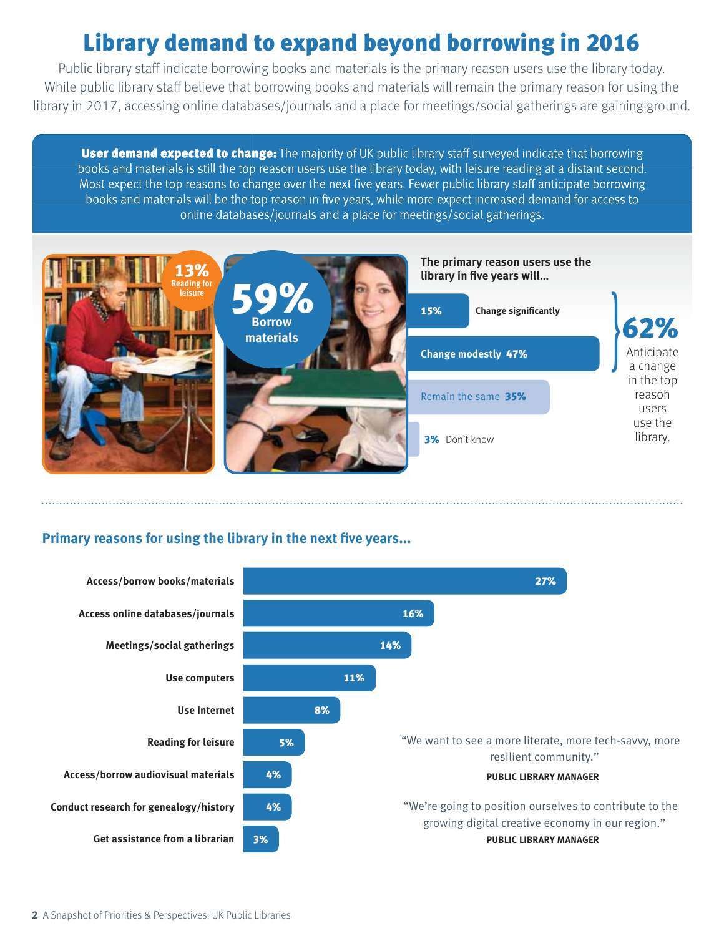# Library demand to expand beyond borrowing in 2016

Public library staff indicate borrowing books and materials is the primary reason users use the library today. While public library staff believe that borrowing books and materials will remain the primary reason for using the library in 2017, accessing online databases/journals and a place for meetings/social gatherings are gaining ground.

**User demand expected to change:** The majority of UK public library staff surveyed indicate that borrowing books and materials is still the top reason users use the library today, with leisure reading at a distant second. Most expect the top reasons to change over the next five years. Fewer public library staff anticipate borrowing books and materials will be the top reason in five years, while more expect increased demand for access to online databases/journals and a place for meetings/social gatherings.



### **Primary reasons for using the library in the next five years...**

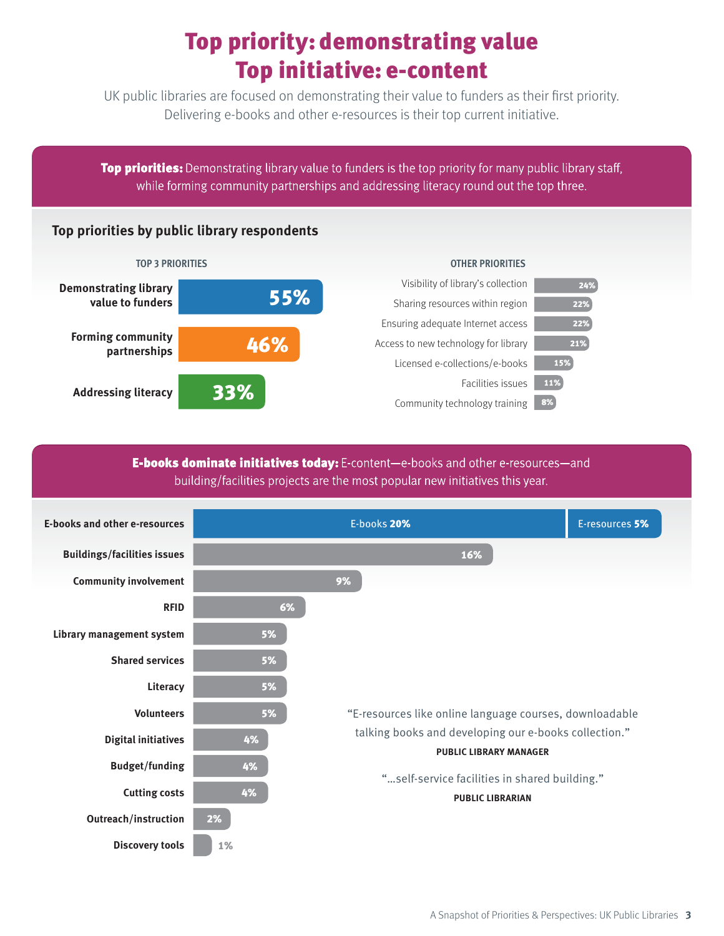# Top priority: demonstrating value Top initiative: e-content

UK public libraries are focused on demonstrating their value to funders as their first priority. Delivering e-books and other e-resources is their top current initiative.

**Top priorities:** Demonstrating library value to funders is the top priority for many public library staff, while forming community partnerships and addressing literacy round out the top three.

### **Top priorities by public library respondents**



#### **E-books dominate initiatives today:** E-content-e-books and other e-resources-and building/facilities projects are the most popular new initiatives this year.